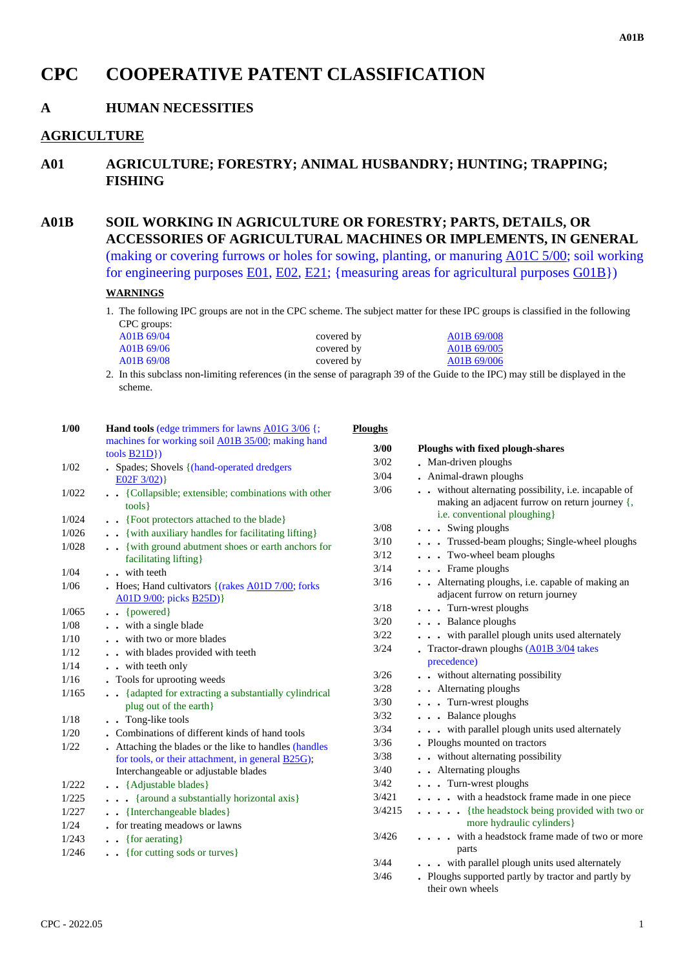# **CPC COOPERATIVE PATENT CLASSIFICATION**

## **A HUMAN NECESSITIES**

## **AGRICULTURE**

**A01 AGRICULTURE; FORESTRY; ANIMAL HUSBANDRY; HUNTING; TRAPPING; FISHING**

**A01B SOIL WORKING IN AGRICULTURE OR FORESTRY; PARTS, DETAILS, OR ACCESSORIES OF AGRICULTURAL MACHINES OR IMPLEMENTS, IN GENERAL** (making or covering furrows or holes for sowing, planting, or manuring A01C 5/00; soil working for engineering purposes  $E(01, E(02, E(21))$ ; {measuring areas for agricultural purposes  $G(01B)$ }

### **WARNINGS**

1. The following IPC groups are not in the CPC scheme. The subject matter for these IPC groups is classified in the following CPC groups:

| A01B 69/04 | covered by | A01B 69/008 |
|------------|------------|-------------|
| A01B 69/06 | covered by | A01B 69/005 |
| A01B 69/08 | covered by | A01B 69/006 |

2. In this subclass non-limiting references (in the sense of paragraph 39 of the Guide to the IPC) may still be displayed in the scheme.

| 1/00           | <b>Hand tools (edge trimmers for lawns A01G 3/06 {;</b>              | <b>Ploughs</b> |                                                                                                                                      |
|----------------|----------------------------------------------------------------------|----------------|--------------------------------------------------------------------------------------------------------------------------------------|
|                | machines for working soil A01B 35/00; making hand                    | 3/00           | Ploughs with fixed plough-shares                                                                                                     |
| 1/02           | tools $\underline{B21D}$ )                                           | $3/02$         | • Man-driven ploughs                                                                                                                 |
|                | . Spades; Shovels {(hand-operated dredgers<br>E02F3/02)              | 3/04           | . Animal-drawn ploughs                                                                                                               |
| 1/022          | • • {Collapsible; extensible; combinations with other<br>tools       | 3/06           | without alternating possibility, i.e. incapable of<br>making an adjacent furrow on return journey {,<br>i.e. conventional ploughing} |
| 1/024          | • • {Foot protectors attached to the blade}                          | 3/08           | $\ldots$ Swing ploughs                                                                                                               |
| 1/026          | . { with auxiliary handles for facilitating lifting }                | 3/10           | . Trussed-beam ploughs; Single-wheel ploughs                                                                                         |
| 1/028          | . { with ground abutment shoes or earth anchors for                  | 3/12           | . Two-wheel beam ploughs                                                                                                             |
|                | facilitating lifting}                                                | 3/14           | $\ldots$ Frame ploughs                                                                                                               |
| 1/04           | . . with teeth                                                       | 3/16           | . Alternating ploughs, i.e. capable of making an                                                                                     |
| 1/06           | Hoes; Hand cultivators $\{(\text{rakes A01D } 7/00); \text{forks}\}$ |                | adjacent furrow on return journey                                                                                                    |
| 1/065          | A01D 9/00; picks <b>B25D</b> )}<br>$\bullet$ $\bullet$ {powered}     | 3/18           | . Turn-wrest ploughs                                                                                                                 |
| 1/08           | . . with a single blade                                              | 3/20           | . Balance ploughs                                                                                                                    |
| 1/10           | . . with two or more blades                                          | 3/22           | . with parallel plough units used alternately                                                                                        |
| 1/12           | . . with blades provided with teeth                                  | 3/24           | Tractor-drawn ploughs (A01B 3/04 takes                                                                                               |
| 1/14           | . . with teeth only                                                  |                | precedence)                                                                                                                          |
| 1/16           | . Tools for uprooting weeds                                          | 3/26           | . . without alternating possibility                                                                                                  |
| 1/165          | . {adapted for extracting a substantially cylindrical                | 3/28           | . Alternating ploughs                                                                                                                |
|                | plug out of the earth}                                               | $3/30$         | . Turn-wrest ploughs                                                                                                                 |
| 1/18           | . . Tong-like tools                                                  | 3/32           | . Balance ploughs                                                                                                                    |
| 1/20           | . Combinations of different kinds of hand tools                      | 3/34           | . with parallel plough units used alternately                                                                                        |
| 1/22           | . Attaching the blades or the like to handles (handles               | 3/36           | . Ploughs mounted on tractors                                                                                                        |
|                | for tools, or their attachment, in general <b>B25G</b> );            | $3/38$         | . . without alternating possibility                                                                                                  |
|                | Interchangeable or adjustable blades                                 | 3/40           | . Alternating ploughs                                                                                                                |
| 1/222          | . . {Adjustable blades}                                              | 3/42           | . Turn-wrest ploughs                                                                                                                 |
| 1/225          | . {around a substantially horizontal axis}                           | 3/421          | . with a headstock frame made in one piece                                                                                           |
| 1/227          | . . {Interchangeable blades}                                         | 3/4215         | . {the headstock being provided with two or                                                                                          |
| 1/24           | • for treating meadows or lawns                                      |                | more hydraulic cylinders}                                                                                                            |
| 1/243<br>1/246 | $\bullet \bullet$ {for aerating}<br>. { for cutting sods or turves}  | 3/426          | . with a headstock frame made of two or more<br>parts                                                                                |
|                |                                                                      | 3/44           | . with parallel plough units used alternately                                                                                        |
|                |                                                                      | 3/46           | . Ploughs supported partly by tractor and partly by<br>their own wheels                                                              |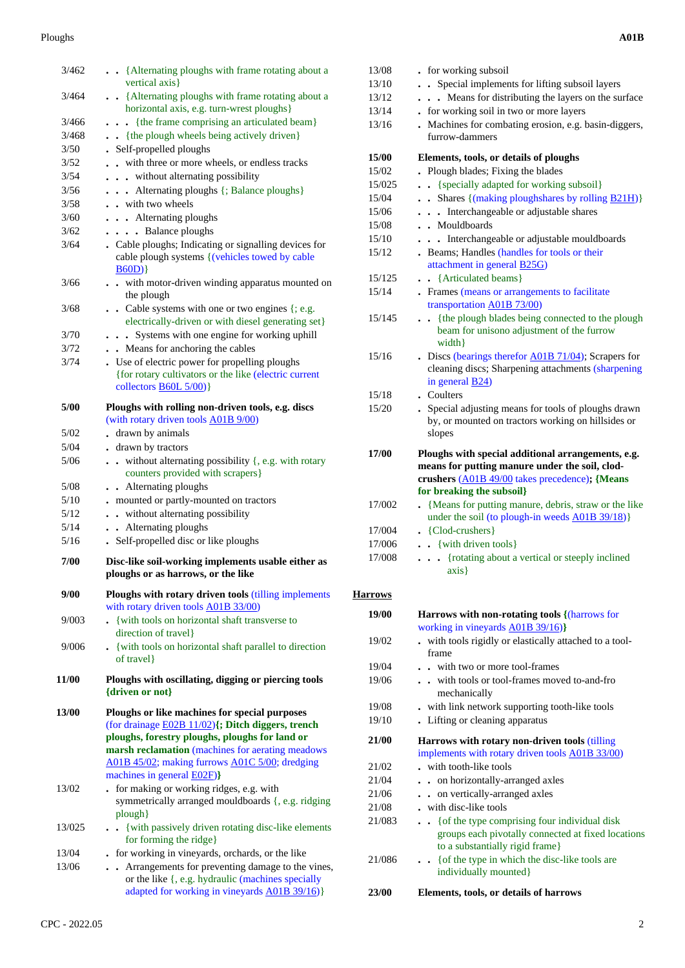#### Ploughs **A01B**

| 3/462  | {Alternating ploughs with frame rotating about a<br>vertical axis}                                                                                                                                                                                         |
|--------|------------------------------------------------------------------------------------------------------------------------------------------------------------------------------------------------------------------------------------------------------------|
| 3/464  | . . {Alternating ploughs with frame rotating about a<br>horizontal axis, e.g. turn-wrest ploughs}                                                                                                                                                          |
| 3/466  | - {the frame comprising an articulated beam}                                                                                                                                                                                                               |
| 3/468  | . {the plough wheels being actively driven}                                                                                                                                                                                                                |
| 3/50   | . Self-propelled ploughs                                                                                                                                                                                                                                   |
| 3/52   | with three or more wheels, or endless tracks                                                                                                                                                                                                               |
| 3/54   | . without alternating possibility                                                                                                                                                                                                                          |
| 3/56   | Alternating ploughs {; Balance ploughs}                                                                                                                                                                                                                    |
| 3/58   | . . with two wheels                                                                                                                                                                                                                                        |
| 3/60   | . Alternating ploughs                                                                                                                                                                                                                                      |
| 3/62   | • Balance ploughs                                                                                                                                                                                                                                          |
| 3/64   | . Cable ploughs; Indicating or signalling devices for<br>cable plough systems { (vehicles towed by cable<br>B60D)                                                                                                                                          |
| 3/66   | . . with motor-driven winding apparatus mounted on<br>the plough                                                                                                                                                                                           |
| 3/68   | Cable systems with one or two engines {; e.g.<br>electrically-driven or with diesel generating set}                                                                                                                                                        |
| 3/70   | Systems with one engine for working uphill                                                                                                                                                                                                                 |
| 3/72   | . Means for anchoring the cables                                                                                                                                                                                                                           |
| 3/74   | . Use of electric power for propelling ploughs<br>{for rotary cultivators or the like (electric current<br>collectors <b>B60L 5/00</b> )}                                                                                                                  |
| 5/00   | Ploughs with rolling non-driven tools, e.g. discs<br>(with rotary driven tools A01B 9/00)                                                                                                                                                                  |
| 5/02   | . drawn by animals                                                                                                                                                                                                                                         |
| 5/04   | . drawn by tractors                                                                                                                                                                                                                                        |
| 5/06   | without alternating possibility {, e.g. with rotary<br>$\ddot{\phantom{a}}$<br>$\bullet$<br>counters provided with scrapers}                                                                                                                               |
| 5/08   | • Alternating ploughs                                                                                                                                                                                                                                      |
| 5/10   | - mounted or partly-mounted on tractors                                                                                                                                                                                                                    |
| 5/12   | • without alternating possibility                                                                                                                                                                                                                          |
| 5/14   | . Alternating ploughs                                                                                                                                                                                                                                      |
| 5/16   | Self-propelled disc or like ploughs                                                                                                                                                                                                                        |
| 7/00   | Disc-like soil-working implements usable either as<br>ploughs or as harrows, or the like                                                                                                                                                                   |
| 9/00   | Ploughs with rotary driven tools (tilling implements<br>with rotary driven tools A01B 33/00)                                                                                                                                                               |
| 9/003  | {with tools on horizontal shaft transverse to<br>direction of travel}                                                                                                                                                                                      |
| 9/006  | . {with tools on horizontal shaft parallel to direction<br>of travel}                                                                                                                                                                                      |
| 11/00  | Ploughs with oscillating, digging or piercing tools<br>{driven or not}                                                                                                                                                                                     |
| 13/00  | Ploughs or like machines for special purposes<br>(for drainage E02B 11/02){; Ditch diggers, trench<br>ploughs, forestry ploughs, ploughs for land or<br>marsh reclamation (machines for aerating meadows<br>A01B 45/02; making furrows A01C 5/00; dredging |
| 13/02  | machines in general <b>E02F</b> )}<br>. for making or working ridges, e.g. with<br>symmetrically arranged mouldboards {, e.g. ridging                                                                                                                      |
| 13/025 | plough}<br>{with passively driven rotating disc-like elements<br>$\ddot{\phantom{0}}$                                                                                                                                                                      |
|        | for forming the ridge}                                                                                                                                                                                                                                     |
| 13/04  | . for working in vineyards, orchards, or the like                                                                                                                                                                                                          |
| 13/06  | Arrangements for preventing damage to the vines,<br>or the like {, e.g. hydraulic (machines specially<br>adapted for working in vineyards A01B 39/16)}                                                                                                     |

|  |  | A01B |
|--|--|------|
|  |  |      |

| 13/08          | . for working subsoil                                                                                                                                                               |
|----------------|-------------------------------------------------------------------------------------------------------------------------------------------------------------------------------------|
| 13/10          | • Special implements for lifting subsoil layers                                                                                                                                     |
| 13/12          | Means for distributing the layers on the surface                                                                                                                                    |
| 13/14          | . for working soil in two or more layers                                                                                                                                            |
| 13/16          | . Machines for combating erosion, e.g. basin-diggers,                                                                                                                               |
|                | furrow-dammers                                                                                                                                                                      |
| <b>15/00</b>   | Elements, tools, or details of ploughs                                                                                                                                              |
| 15/02          | . Plough blades; Fixing the blades                                                                                                                                                  |
| 15/025         | {specially adapted for working subsoil}<br>$\ddot{\phantom{0}}$                                                                                                                     |
| 15/04          | Shares {(making ploughshares by rolling <b>B21H)</b> }<br>$\ddot{\phantom{0}}$                                                                                                      |
| 15/06          | Interchangeable or adjustable shares<br>$\ddot{\phantom{0}}$<br>$\sim$                                                                                                              |
| 15/08          | . Mouldboards                                                                                                                                                                       |
| 15/10          | Interchangeable or adjustable mouldboards                                                                                                                                           |
| 15/12          | . Beams; Handles (handles for tools or their<br>attachment in general <b>B25G</b> )                                                                                                 |
| 15/125         | • {Articulated beams}                                                                                                                                                               |
| 15/14          | Frames (means or arrangements to facilitate<br>transportation A01B 73/00)                                                                                                           |
| 15/145         | {the plough blades being connected to the plough<br>beam for unisono adjustment of the furrow<br>width }                                                                            |
| 15/16          | . Discs (bearings therefor A01B 71/04); Scrapers for<br>cleaning discs; Sharpening attachments (sharpening<br>in general $\underline{B24}$                                          |
| 15/18          | . Coulters                                                                                                                                                                          |
| 15/20          | . Special adjusting means for tools of ploughs drawn<br>by, or mounted on tractors working on hillsides or<br>slopes                                                                |
| 17/00          | Ploughs with special additional arrangements, e.g.<br>means for putting manure under the soil, clod-<br>crushers (A01B 49/00 takes precedence); {Means<br>for breaking the subsoil} |
| 17/002         | {Means for putting manure, debris, straw or the like<br>$\ddot{\phantom{0}}$<br>under the soil (to plough-in weeds A01B 39/18)}                                                     |
| 17/004         | • {Clod-crushers}                                                                                                                                                                   |
| 17/006         | $\bullet$ $\bullet$ {with driven tools}                                                                                                                                             |
| 17/008         | {rotating about a vertical or steeply inclined<br>$\ddot{\phantom{0}}$                                                                                                              |
|                | axis }                                                                                                                                                                              |
| <b>Harrows</b> |                                                                                                                                                                                     |
| 19/00          | <b>Harrows with non-rotating tools {(harrows for</b>                                                                                                                                |
| 19/02          | working in vineyards A01B 39/16)}<br>with tools rigidly or elastically attached to a tool-<br>frame                                                                                 |
| 19/04          | with two or more tool-frames                                                                                                                                                        |
| 19/06          | with tools or tool-frames moved to-and-fro<br>$\cdot$ $\cdot$<br>mechanically                                                                                                       |
| 19/08          | with link network supporting tooth-like tools                                                                                                                                       |
| 19/10          | Lifting or cleaning apparatus                                                                                                                                                       |
| 21/00          | Harrows with rotary non-driven tools (tilling<br>implements with rotary driven tools A01B 33/00)                                                                                    |
| 21/02          | . with tooth-like tools                                                                                                                                                             |
| 21/04          | . on horizontally-arranged axles                                                                                                                                                    |

- 21/08 **.** with disc-like tools
- 21/083 **. .** {of the type comprising four individual disk groups each pivotally connected at fixed locations to a substantially rigid frame} 21/086 **. .** {of the type in which the disc-like tools are
- individually mounted}

 **23/00 Elements, tools, or details of harrows**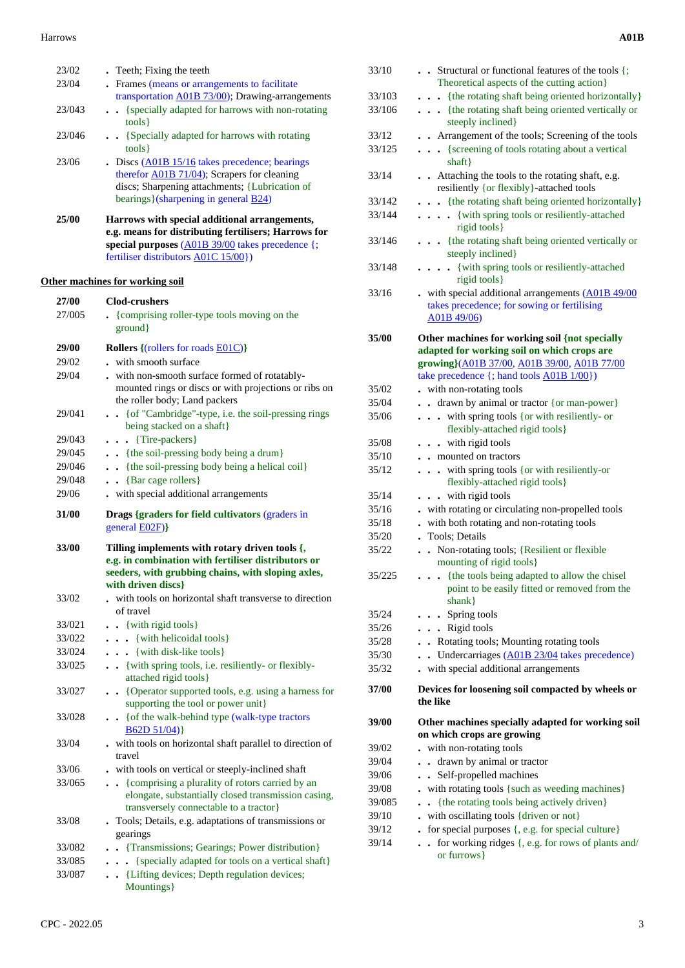#### Harrows **A01B**

| 23/02            | . Teeth; Fixing the teeth                                                                                 |  |
|------------------|-----------------------------------------------------------------------------------------------------------|--|
| 23/04            | Frames (means or arrangements to facilitate                                                               |  |
|                  | transportation A01B 73/00); Drawing-arrangements                                                          |  |
| 23/043           | . {specially adapted for harrows with non-rotating<br>tools }                                             |  |
| 23/046           | • • {Specially adapted for harrows with rotating<br>tools }                                               |  |
| 23/06            | $\bullet$ Discs ( $\triangle$ 01B 15/16 takes precedence; bearings                                        |  |
|                  | therefor <b>A01B</b> 71/04); Scrapers for cleaning                                                        |  |
|                  | discs; Sharpening attachments; {Lubrication of                                                            |  |
|                  | bearings}(sharpening in general B24)                                                                      |  |
| 25/00            | Harrows with special additional arrangements,                                                             |  |
|                  | e.g. means for distributing fertilisers; Harrows for                                                      |  |
|                  | special purposes (A01B 39/00 takes precedence {;                                                          |  |
|                  | fertiliser distributors A01C 15/00})                                                                      |  |
|                  | <b>Other machines for working soil</b>                                                                    |  |
| 27/00            | <b>Clod-crushers</b>                                                                                      |  |
| 27/005           | • {comprising roller-type tools moving on the                                                             |  |
|                  | ground                                                                                                    |  |
| 29/00            | <b>Rollers</b> {(rollers for roads <b>E01C</b> )}                                                         |  |
| 29/02            | with smooth surface                                                                                       |  |
| 29/04            | - with non-smooth surface formed of rotatably-                                                            |  |
|                  | mounted rings or discs or with projections or ribs on                                                     |  |
|                  | the roller body; Land packers                                                                             |  |
| 29/041           | • · {of "Cambridge"-type, i.e. the soil-pressing rings                                                    |  |
|                  | being stacked on a shaft}                                                                                 |  |
| 29/043           | $\ldots$ {Tire-packers}                                                                                   |  |
| 29/045           | . {the soil-pressing body being a drum}                                                                   |  |
| 29/046           | . {the soil-pressing body being a helical coil}                                                           |  |
| 29/048           | {Bar cage rollers}                                                                                        |  |
| 29/06            | . with special additional arrangements                                                                    |  |
|                  |                                                                                                           |  |
| 31/00            | Drags {graders for field cultivators (graders in<br>general <b>E02F</b> )}                                |  |
|                  |                                                                                                           |  |
| 33/00            | Tilling implements with rotary driven tools {,                                                            |  |
|                  | e.g. in combination with fertiliser distributors or<br>seeders, with grubbing chains, with sloping axles, |  |
|                  | with driven discs}                                                                                        |  |
| 33/02            | with tools on horizontal shaft transverse to direction                                                    |  |
|                  | of travel                                                                                                 |  |
| 33/021           | $\bullet$ {with rigid tools}                                                                              |  |
| 33/022           | {with helicoidal tools}<br>.                                                                              |  |
| 33/024           | {with disk-like tools}<br>.                                                                               |  |
| 33/025           | . . {with spring tools, i.e. resiliently- or flexibly-                                                    |  |
|                  | attached rigid tools}                                                                                     |  |
| 33/027           | • • {Operator supported tools, e.g. using a harness for                                                   |  |
|                  | supporting the tool or power unit}                                                                        |  |
| 33/028           | • { of the walk-behind type (walk-type tractors                                                           |  |
|                  | B62D 51/04)                                                                                               |  |
| 33/04            | . with tools on horizontal shaft parallel to direction of<br>travel                                       |  |
| 33/06            |                                                                                                           |  |
| 33/065           | - with tools on vertical or steeply-inclined shaft<br>{comprising a plurality of rotors carried by an     |  |
|                  | elongate, substantially closed transmission casing,                                                       |  |
|                  | transversely connectable to a tractor}                                                                    |  |
| 33/08            | . Tools; Details, e.g. adaptations of transmissions or                                                    |  |
|                  | gearings                                                                                                  |  |
| 33/082           | . Transmissions; Gearings; Power distribution}                                                            |  |
| 33/085<br>33/087 | {specially adapted for tools on a vertical shaft}<br>. . {Lifting devices; Depth regulation devices;      |  |

Mountings}

| 33/10  | Structural or functional features of the tools $\{\}$ ;<br>Theoretical aspects of the cutting action}            |
|--------|------------------------------------------------------------------------------------------------------------------|
| 33/103 | . {the rotating shaft being oriented horizontally}                                                               |
| 33/106 | {the rotating shaft being oriented vertically or<br>steeply inclined}                                            |
| 33/12  | . Arrangement of the tools; Screening of the tools                                                               |
| 33/125 | {screening of tools rotating about a vertical<br>$\cdots$                                                        |
|        | shaff                                                                                                            |
| 33/14  | Attaching the tools to the rotating shaft, e.g.<br>resiliently {or flexibly}-attached tools                      |
| 33/142 | . {the rotating shaft being oriented horizontally}                                                               |
| 33/144 | {with spring tools or resiliently-attached<br>rigid tools }                                                      |
| 33/146 | {the rotating shaft being oriented vertically or<br>steeply inclined}                                            |
| 33/148 | {with spring tools or resiliently-attached<br>$\bullet$<br>rigid tools }                                         |
| 33/16  | . with special additional arrangements (A01B 49/00<br>takes precedence; for sowing or fertilising<br>A01B 49/06) |
| 35/00  | Other machines for working soil {not specially                                                                   |
|        | adapted for working soil on which crops are                                                                      |
|        | growing}(A01B 37/00, A01B 39/00, A01B 77/00<br>take precedence {; hand tools A01B 1/00})                         |
| 35/02  | . with non-rotating tools                                                                                        |
| 35/04  | . drawn by animal or tractor {or man-power}                                                                      |
| 35/06  | with spring tools {or with resiliently- or<br>flexibly-attached rigid tools}                                     |
| 35/08  | . . with rigid tools                                                                                             |
| 35/10  | mounted on tractors                                                                                              |
| 35/12  | . . with spring tools {or with resiliently-or<br>flexibly-attached rigid tools}                                  |
| 35/14  | . . with rigid tools                                                                                             |
| 35/16  | . with rotating or circulating non-propelled tools                                                               |
| 35/18  | with both rotating and non-rotating tools                                                                        |
| 35/20  | Tools; Details<br>$\ddot{\phantom{0}}$                                                                           |
| 35/22  | Non-rotating tools; {Resilient or flexible<br>$\ddot{\phantom{a}}$<br>mounting of rigid tools)                   |
| 35/225 | . {the tools being adapted to allow the chisel                                                                   |
|        | point to be easily fitted or removed from the<br>$shank$ }                                                       |
| 35/24  | Spring tools                                                                                                     |
| 35/26  | . Rigid tools                                                                                                    |
| 35/28  | Rotating tools; Mounting rotating tools<br>$\mathbf{r}$                                                          |
| 35/30  | Undercarriages (A01B 23/04 takes precedence)<br>$\ddot{\phantom{a}}$                                             |
| 35/32  | with special additional arrangements                                                                             |
|        |                                                                                                                  |
| 37/00  | Devices for loosening soil compacted by wheels or<br>the like                                                    |
| 39/00  | Other machines specially adapted for working soil<br>on which crops are growing                                  |
| 39/02  | . with non-rotating tools                                                                                        |
| 39/04  | drawn by animal or tractor                                                                                       |
| 39/06  | Self-propelled machines                                                                                          |
| 39/08  | with rotating tools {such as weeding machines}                                                                   |
| 39/085 | {the rotating tools being actively driven}<br>$\overline{a}$                                                     |
| 39/10  | with oscillating tools {driven or not}                                                                           |
| 39/12  | for special purposes {, e.g. for special culture}                                                                |
| 39/14  | for working ridges {, e.g. for rows of plants and/<br>$\ddot{\phantom{a}}$<br>or furrows }                       |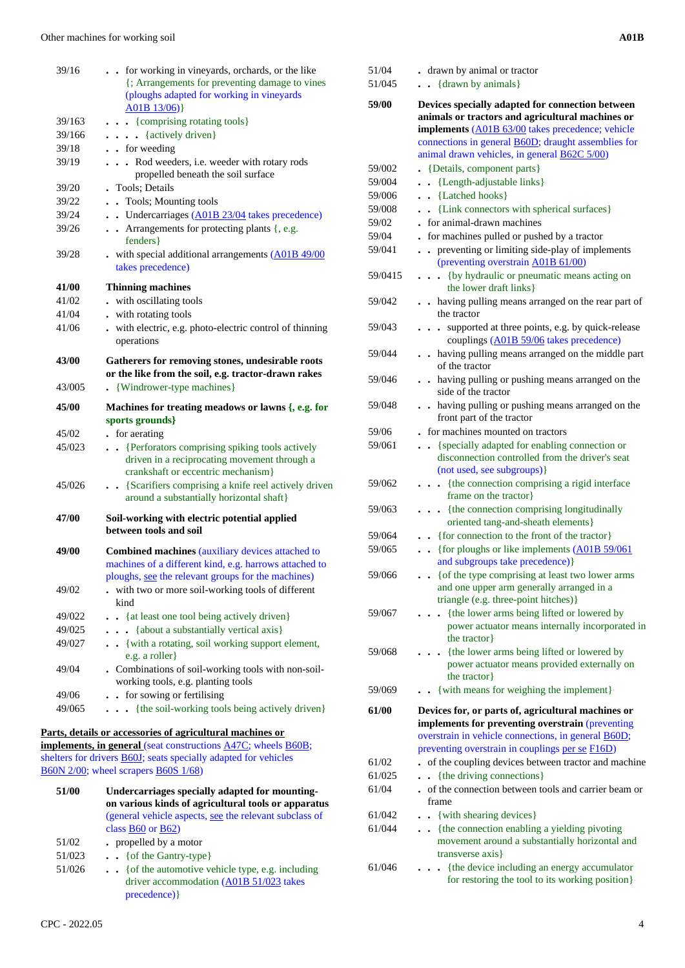| 39/20<br>39/22<br>39/24 | propelled beneath the soil surface<br>. Tools; Details<br>. Tools; Mounting tools<br>. . Undercarriages (A01B 23/04 takes precedence)                                                                                   |
|-------------------------|-------------------------------------------------------------------------------------------------------------------------------------------------------------------------------------------------------------------------|
| 39/26<br>39/28          | • Arrangements for protecting plants {, e.g.<br>fenders }<br>. with special additional arrangements (A01B 49/00                                                                                                         |
|                         | takes precedence)                                                                                                                                                                                                       |
| 41/00                   | <b>Thinning machines</b>                                                                                                                                                                                                |
| 41/02                   | - with oscillating tools                                                                                                                                                                                                |
| 41/04                   | . with rotating tools                                                                                                                                                                                                   |
| 41/06                   | . with electric, e.g. photo-electric control of thinning<br>operations                                                                                                                                                  |
| 43/00                   | Gatherers for removing stones, undesirable roots<br>or the like from the soil, e.g. tractor-drawn rakes                                                                                                                 |
| 43/005                  | . {Windrower-type machines}                                                                                                                                                                                             |
| 45/00                   | Machines for treating meadows or lawns $\{, e.g.$ for<br>sports grounds}                                                                                                                                                |
| 45/02                   | • for aerating                                                                                                                                                                                                          |
| 45/023<br>45/026        | {Perforators comprising spiking tools actively<br>$\ddot{\phantom{0}}$<br>driven in a reciprocating movement through a<br>crankshaft or eccentric mechanism}<br>. . {Scarifiers comprising a knife reel actively driven |
| 47/00                   | around a substantially horizontal shaft}<br>Soil-working with electric potential applied                                                                                                                                |
|                         | between tools and soil                                                                                                                                                                                                  |
| 49/00                   | Combined machines (auxiliary devices attached to<br>machines of a different kind, e.g. harrows attached to<br>ploughs, <u>see</u> the relevant groups for the machines)                                                 |
| 49/02                   | with two or more soil-working tools of different<br>kind                                                                                                                                                                |
| 49/022                  | . {at least one tool being actively driven}                                                                                                                                                                             |
| 49/025                  | . {about a substantially vertical axis}                                                                                                                                                                                 |
| 49/027                  | . . {with a rotating, soil working support element,<br>e.g. a roller}                                                                                                                                                   |
| 49/04                   | . Combinations of soil-working tools with non-soil-<br>working tools, e.g. planting tools                                                                                                                               |
| 49/06                   | for sowing or fertilising<br>$\ddot{\phantom{0}}$                                                                                                                                                                       |
| 49/065                  | {the soil-working tools being actively driven}                                                                                                                                                                          |
|                         | Parts, details or accessories of agricultural machines or                                                                                                                                                               |
|                         | implements, in general (seat constructions A47C; wheels B60B;<br>shelters for drivers <b>B60J</b> ; seats specially adapted for vehicles                                                                                |
|                         | B60N 2/00; wheel scrapers B60S 1/68)                                                                                                                                                                                    |
| 51/00                   | Undercarriages specially adapted for mounting-<br>on various kinds of agricultural tools or apparatus                                                                                                                   |
|                         | (general vehicle aspects, see the relevant subclass of                                                                                                                                                                  |

|        | on various kinds of agricultural tools or apparate                                                              |
|--------|-----------------------------------------------------------------------------------------------------------------|
|        | (general vehicle aspects, see the relevant subclass of                                                          |
|        | class $B60$ or $B62$ )                                                                                          |
| 51/02  | • propelled by a motor                                                                                          |
| 51/023 | $\bullet$ $\bullet$ { of the Gantry-type}                                                                       |
| 51/026 | $\bullet$ $\bullet$ { of the automotive vehicle type, e.g. including<br>driver accommodation (A01B 51/023 takes |
|        | precedence) }                                                                                                   |
|        |                                                                                                                 |

| CPC - 2022.05 |  |  |
|---------------|--|--|

| 51/04   | . drawn by animal or tractor                                                                                                                                                                                             |  |
|---------|--------------------------------------------------------------------------------------------------------------------------------------------------------------------------------------------------------------------------|--|
| 51/045  | $\bullet$ {drawn by animals}                                                                                                                                                                                             |  |
| 59/00   | Devices specially adapted for connection between<br>animals or tractors and agricultural machines or                                                                                                                     |  |
|         | implements (A01B 63/00 takes precedence; vehicle                                                                                                                                                                         |  |
|         | connections in general <b>B60D</b> ; draught assemblies for                                                                                                                                                              |  |
|         | animal drawn vehicles, in general <b>B62C 5/00</b> )                                                                                                                                                                     |  |
| 59/002  | • {Details, component parts}                                                                                                                                                                                             |  |
| 59/004  | • {Length-adjustable links}                                                                                                                                                                                              |  |
| 59/006  | . . {Latched hooks}                                                                                                                                                                                                      |  |
| 59/008  | . . {Link connectors with spherical surfaces}                                                                                                                                                                            |  |
| 59/02   | . for animal-drawn machines                                                                                                                                                                                              |  |
| 59/04   | - for machines pulled or pushed by a tractor                                                                                                                                                                             |  |
| 59/041  | preventing or limiting side-play of implements<br>(preventing overstrain A01B 61/00)                                                                                                                                     |  |
| 59/0415 | {by hydraulic or pneumatic means acting on<br>.<br>the lower draft links }                                                                                                                                               |  |
| 59/042  | having pulling means arranged on the rear part of<br>the tractor                                                                                                                                                         |  |
| 59/043  | supported at three points, e.g. by quick-release<br>$\ddot{\phantom{0}}$<br>couplings (A01B 59/06 takes precedence)                                                                                                      |  |
| 59/044  | . having pulling means arranged on the middle part<br>of the tractor                                                                                                                                                     |  |
| 59/046  | . having pulling or pushing means arranged on the<br>side of the tractor                                                                                                                                                 |  |
| 59/048  | having pulling or pushing means arranged on the<br>front part of the tractor                                                                                                                                             |  |
| 59/06   | for machines mounted on tractors                                                                                                                                                                                         |  |
| 59/061  | {specially adapted for enabling connection or                                                                                                                                                                            |  |
|         | disconnection controlled from the driver's seat<br>(not used, see subgroups)}                                                                                                                                            |  |
| 59/062  | {the connection comprising a rigid interface<br>frame on the tractor}                                                                                                                                                    |  |
| 59/063  | {the connection comprising longitudinally<br>oriented tang-and-sheath elements}                                                                                                                                          |  |
| 59/064  | • {for connection to the front of the tractor}                                                                                                                                                                           |  |
| 59/065  | • {for ploughs or like implements $(A01B 59/061)$<br>and subgroups take precedence) }                                                                                                                                    |  |
| 59/066  | {of the type comprising at least two lower arms<br>and one upper arm generally arranged in a<br>triangle (e.g. three-point hitches)}                                                                                     |  |
| 59/067  | {the lower arms being lifted or lowered by<br>power actuator means internally incorporated in<br>the tractor                                                                                                             |  |
| 59/068  | {the lower arms being lifted or lowered by                                                                                                                                                                               |  |
|         | power actuator means provided externally on<br>the tractor                                                                                                                                                               |  |
| 59/069  | {with means for weighing the implement}                                                                                                                                                                                  |  |
| 61/00   | Devices for, or parts of, agricultural machines or<br>implements for preventing overstrain (preventing<br>overstrain in vehicle connections, in general <b>B60D</b> ;<br>preventing overstrain in couplings per se F16D) |  |
| 61/02   | of the coupling devices between tractor and machine                                                                                                                                                                      |  |
| 61/025  | {the driving connections}                                                                                                                                                                                                |  |
| 61/04   | of the connection between tools and carrier beam or<br>frame                                                                                                                                                             |  |
| 61/042  | • {with shearing devices}                                                                                                                                                                                                |  |
| 61/044  | • {the connection enabling a yielding pivoting<br>movement around a substantially horizontal and<br>transverse axis}                                                                                                     |  |
| 61/046  | {the device including an energy accumulator<br>for restoring the tool to its working position}                                                                                                                           |  |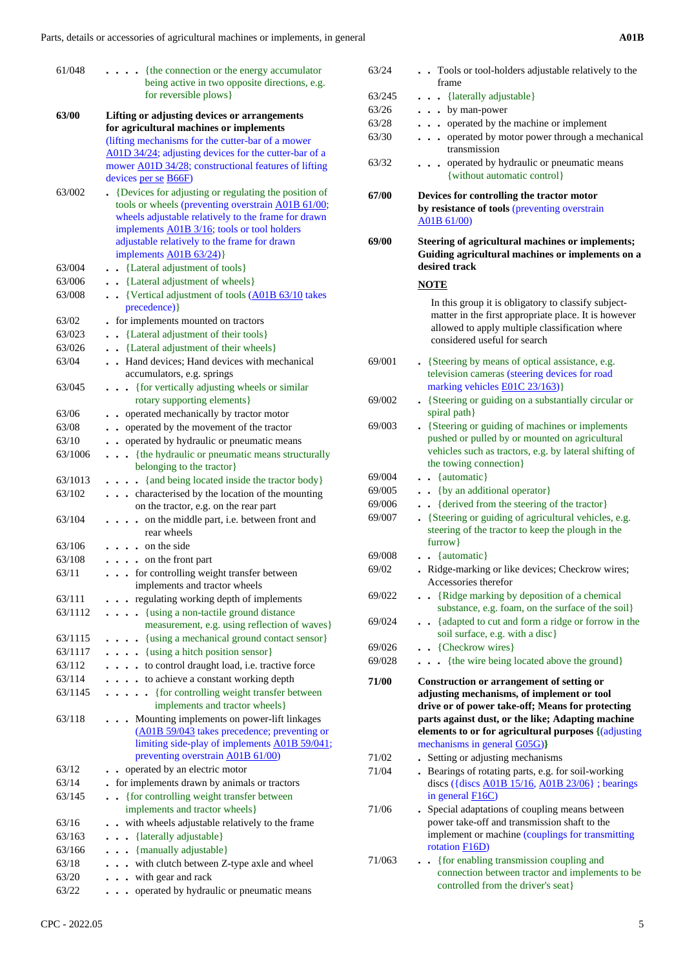| 61/048  | . {the connection or the energy accumulator                                                               | 63/24  | . Tools or tool-holders adjustable relatively to the           |
|---------|-----------------------------------------------------------------------------------------------------------|--------|----------------------------------------------------------------|
|         | being active in two opposite directions, e.g.                                                             |        | frame                                                          |
|         | for reversible plows }                                                                                    | 63/245 | . {laterally adjustable}                                       |
| 63/00   | Lifting or adjusting devices or arrangements                                                              | 63/26  | $\ldots$ by man-power                                          |
|         | for agricultural machines or implements                                                                   | 63/28  | . operated by the machine or implement                         |
|         | (lifting mechanisms for the cutter-bar of a mower                                                         | 63/30  | . operated by motor power through a mechanical<br>transmission |
|         | A01D 34/24; adjusting devices for the cutter-bar of a                                                     | 63/32  | operated by hydraulic or pneumatic means<br>$\cdots$           |
|         | mower A01D 34/28; constructional features of lifting                                                      |        | {without automatic control}                                    |
|         | devices per se $\overline{B66F}$                                                                          |        |                                                                |
| 63/002  | • {Devices for adjusting or regulating the position of                                                    | 67/00  | Devices for controlling the tractor motor                      |
|         | tools or wheels (preventing overstrain A01B 61/00;<br>wheels adjustable relatively to the frame for drawn |        | by resistance of tools (preventing overstrain                  |
|         | implements A01B 3/16; tools or tool holders                                                               |        | A01B 61/00)                                                    |
|         | adjustable relatively to the frame for drawn                                                              | 69/00  | Steering of agricultural machines or implements;               |
|         | implements A01B 63/24)}                                                                                   |        | Guiding agricultural machines or implements on a               |
| 63/004  | . . {Lateral adjustment of tools}                                                                         |        | desired track                                                  |
| 63/006  | . . {Lateral adjustment of wheels}                                                                        |        |                                                                |
| 63/008  | . . {Vertical adjustment of tools (A01B 63/10 takes                                                       |        | <b>NOTE</b>                                                    |
|         | precedence) }                                                                                             |        | In this group it is obligatory to classify subject-            |
| 63/02   | - for implements mounted on tractors                                                                      |        | matter in the first appropriate place. It is however           |
| 63/023  | . {Lateral adjustment of their tools}                                                                     |        | allowed to apply multiple classification where                 |
| 63/026  | . {Lateral adjustment of their wheels}                                                                    |        | considered useful for search                                   |
| 63/04   | . Hand devices; Hand devices with mechanical                                                              | 69/001 | • {Steering by means of optical assistance, e.g.               |
|         | accumulators, e.g. springs                                                                                |        | television cameras (steering devices for road                  |
| 63/045  | . {for vertically adjusting wheels or similar                                                             |        | marking vehicles <b>E01C</b> 23/163)}                          |
|         | rotary supporting elements }                                                                              | 69/002 | • {Steering or guiding on a substantially circular or          |
| 63/06   | . . operated mechanically by tractor motor                                                                |        | spiral path}                                                   |
| 63/08   | operated by the movement of the tractor                                                                   | 69/003 | • {Steering or guiding of machines or implements               |
| 63/10   | operated by hydraulic or pneumatic means                                                                  |        | pushed or pulled by or mounted on agricultural                 |
| 63/1006 | . {the hydraulic or pneumatic means structurally                                                          |        | vehicles such as tractors, e.g. by lateral shifting of         |
|         | belonging to the tractor}                                                                                 |        | the towing connection}                                         |
| 63/1013 | . {and being located inside the tractor body}                                                             | 69/004 | . . {automatic}                                                |
| 63/102  | characterised by the location of the mounting                                                             | 69/005 | . . {by an additional operator}                                |
|         | on the tractor, e.g. on the rear part                                                                     | 69/006 | . {derived from the steering of the tractor}                   |
| 63/104  | . on the middle part, i.e. between front and                                                              | 69/007 | • {Steering or guiding of agricultural vehicles, e.g.          |
|         | rear wheels                                                                                               |        | steering of the tractor to keep the plough in the              |
| 63/106  | $\cdots$ on the side                                                                                      |        | $farrow\}$                                                     |
| 63/108  | $\cdots$ on the front part                                                                                | 69/008 | $\bullet$ $\bullet$ {automatic}                                |
| 63/11   | . for controlling weight transfer between                                                                 | 69/02  | . Ridge-marking or like devices; Checkrow wires;               |
|         | implements and tractor wheels                                                                             |        | Accessories therefor                                           |
| 63/111  | . regulating working depth of implements                                                                  | 69/022 | . . {Ridge marking by deposition of a chemical                 |
| 63/1112 | . {using a non-tactile ground distance                                                                    |        | substance, e.g. foam, on the surface of the soil}              |
|         | measurement, e.g. using reflection of waves}                                                              | 69/024 | {adapted to cut and form a ridge or forrow in the              |
| 63/1115 | . {using a mechanical ground contact sensor}                                                              |        | soil surface, e.g. with a disc}                                |
| 63/1117 | $\ldots$ (using a hitch position sensor)                                                                  | 69/026 | . . {Checkrow wires}                                           |
| 63/112  | . to control draught load, i.e. tractive force                                                            | 69/028 | . {the wire being located above the ground}                    |
| 63/114  | . to achieve a constant working depth                                                                     | 71/00  | Construction or arrangement of setting or                      |
| 63/1145 | . {for controlling weight transfer between                                                                |        | adjusting mechanisms, of implement or tool                     |
|         | implements and tractor wheels }                                                                           |        | drive or of power take-off; Means for protecting               |
| 63/118  | . Mounting implements on power-lift linkages                                                              |        | parts against dust, or the like; Adapting machine              |
|         | (A01B 59/043 takes precedence; preventing or                                                              |        | elements to or for agricultural purposes {(adjusting           |
|         | limiting side-play of implements A01B 59/041;                                                             |        | mechanisms in general G05G)}                                   |
|         | preventing overstrain A01B 61/00)                                                                         | 71/02  | • Setting or adjusting mechanisms                              |
| 63/12   | . . operated by an electric motor                                                                         | 71/04  | . Bearings of rotating parts, e.g. for soil-working            |
| 63/14   | - for implements drawn by animals or tractors                                                             |        | discs ({discs $A01B$ 15/16, $A01B$ 23/06}; bearings            |
| 63/145  | . {for controlling weight transfer between                                                                |        | in general $F16C$ )                                            |
|         | implements and tractor wheels}                                                                            | 71/06  | . Special adaptations of coupling means between                |
| 63/16   | . . with wheels adjustable relatively to the frame                                                        |        | power take-off and transmission shaft to the                   |
| 63/163  | . {laterally adjustable}                                                                                  |        | implement or machine (couplings for transmitting               |
| 63/166  | . {manually adjustable}                                                                                   |        | rotation F16D)                                                 |
| 63/18   | . with clutch between Z-type axle and wheel                                                               | 71/063 | . {for enabling transmission coupling and                      |
| 63/20   | . with gear and rack                                                                                      |        | connection between tractor and implements to be                |
| 63/22   | . operated by hydraulic or pneumatic means                                                                |        | controlled from the driver's seat}                             |

| with gear and rack<br>operated by hydraulion |
|----------------------------------------------|
|                                              |

|                  | mower A01D 34/28; constructional features of lifting                                                                                                                | 63/32           | . operated by hydraulic or pneumatic means                                                                                                 |
|------------------|---------------------------------------------------------------------------------------------------------------------------------------------------------------------|-----------------|--------------------------------------------------------------------------------------------------------------------------------------------|
|                  | devices per se $\overline{B66F}$                                                                                                                                    |                 | {without automatic control}                                                                                                                |
| 63/002           | • {Devices for adjusting or regulating the position of<br>tools or wheels (preventing overstrain A01B 61/00;<br>wheels adjustable relatively to the frame for drawn | 67/00           | Devices for controlling the tractor motor<br>by resistance of tools (preventing overstrain                                                 |
|                  | implements A01B 3/16; tools or tool holders<br>adjustable relatively to the frame for drawn                                                                         | 69/00           | A01B 61/00)<br>Steering of agricultural machines or implements;                                                                            |
|                  | implements $\triangle 01B$ 63/24)}                                                                                                                                  |                 | Guiding agricultural machines or implements on a<br>desired track                                                                          |
| 63/004           | . . {Lateral adjustment of tools}                                                                                                                                   |                 |                                                                                                                                            |
| 63/006<br>63/008 | . . {Lateral adjustment of wheels}<br>. . {Vertical adjustment of tools (A01B 63/10 takes                                                                           |                 | <b>NOTE</b>                                                                                                                                |
| 63/02            | precedence) }<br>- for implements mounted on tractors                                                                                                               |                 | In this group it is obligatory to classify subject-<br>matter in the first appropriate place. It is however                                |
| 63/023           | . . {Lateral adjustment of their tools}                                                                                                                             |                 | allowed to apply multiple classification where                                                                                             |
| 63/026           | . . {Lateral adjustment of their wheels}                                                                                                                            |                 | considered useful for search                                                                                                               |
| 63/04            | . . Hand devices; Hand devices with mechanical                                                                                                                      | 69/001          | • {Steering by means of optical assistance, e.g.                                                                                           |
| 63/045           | accumulators, e.g. springs<br>. {for vertically adjusting wheels or similar                                                                                         |                 | television cameras (steering devices for road<br>marking vehicles <b>E01C</b> 23/163)}                                                     |
|                  | rotary supporting elements }                                                                                                                                        | 69/002          | • {Steering or guiding on a substantially circular or                                                                                      |
| 63/06            | . . operated mechanically by tractor motor                                                                                                                          |                 | spiral path}                                                                                                                               |
| 63/08            | operated by the movement of the tractor                                                                                                                             | 69/003          | • {Steering or guiding of machines or implements                                                                                           |
| 63/10            | operated by hydraulic or pneumatic means                                                                                                                            |                 | pushed or pulled by or mounted on agricultural                                                                                             |
| 63/1006          | . {the hydraulic or pneumatic means structurally                                                                                                                    |                 | vehicles such as tractors, e.g. by lateral shifting of                                                                                     |
|                  | belonging to the tractor}                                                                                                                                           |                 | the towing connection}                                                                                                                     |
| 63/1013          | . {and being located inside the tractor body}                                                                                                                       | 69/004          | . . {automatic}                                                                                                                            |
| 63/102           | . characterised by the location of the mounting                                                                                                                     | 69/005          | . . {by an additional operator}                                                                                                            |
|                  | on the tractor, e.g. on the rear part                                                                                                                               | 69/006          | . {derived from the steering of the tractor}                                                                                               |
| 63/104           | . on the middle part, i.e. between front and<br>rear wheels                                                                                                         | 69/007          | • {Steering or guiding of agricultural vehicles, e.g.<br>steering of the tractor to keep the plough in the                                 |
| 63/106           | $\cdot \cdot \cdot$ on the side                                                                                                                                     |                 | $farrow\}$                                                                                                                                 |
| 63/108           | $\ldots$ on the front part                                                                                                                                          | 69/008<br>69/02 | $\bullet$ $\bullet$ {automatic}<br>. Ridge-marking or like devices; Checkrow wires;                                                        |
| 63/11            | . for controlling weight transfer between<br>implements and tractor wheels                                                                                          |                 | Accessories therefor                                                                                                                       |
| 63/111           | . regulating working depth of implements                                                                                                                            | 69/022          | . . {Ridge marking by deposition of a chemical<br>substance, e.g. foam, on the surface of the soil}                                        |
| 63/1112          | {using a non-tactile ground distance<br>measurement, e.g. using reflection of waves}                                                                                | 69/024          | {adapted to cut and form a ridge or forrow in the<br>soil surface, e.g. with a disc}                                                       |
| 63/1115          | {using a mechanical ground contact sensor}                                                                                                                          | 69/026          | . . {Checkrow wires}                                                                                                                       |
| 63/1117          | . {using a hitch position sensor}                                                                                                                                   | 69/028          | . {the wire being located above the ground}                                                                                                |
| 63/112           | . to control draught load, i.e. tractive force                                                                                                                      |                 |                                                                                                                                            |
| 63/114           | . to achieve a constant working depth                                                                                                                               | 71/00           | Construction or arrangement of setting or                                                                                                  |
| 63/1145          | . {for controlling weight transfer between<br>implements and tractor wheels}                                                                                        |                 | adjusting mechanisms, of implement or tool<br>drive or of power take-off; Means for protecting                                             |
| 63/118           | . Mounting implements on power-lift linkages<br>(A01B 59/043 takes precedence; preventing or<br>limiting side-play of implements A01B 59/041;                       |                 | parts against dust, or the like; Adapting machine<br>elements to or for agricultural purposes {(adjusting)<br>mechanisms in general G05G)} |
|                  | preventing overstrain A01B 61/00)                                                                                                                                   | 71/02           | • Setting or adjusting mechanisms                                                                                                          |
| 63/12            | . . operated by an electric motor                                                                                                                                   | 71/04           | . Bearings of rotating parts, e.g. for soil-working                                                                                        |
| 63/14            | • for implements drawn by animals or tractors                                                                                                                       |                 | discs ({discs $\underline{A01B}$ 15/16, $\underline{A01B}$ 23/06} ; bearings                                                               |
| 63/145           | . {for controlling weight transfer between<br>implements and tractor wheels }                                                                                       | 71/06           | in general <b>F16C</b> )<br>. Special adaptations of coupling means between                                                                |
| 63/16            | . . with wheels adjustable relatively to the frame                                                                                                                  |                 | power take-off and transmission shaft to the                                                                                               |
| 63/163           | . {laterally adjustable}                                                                                                                                            |                 | implement or machine (couplings for transmitting                                                                                           |
| 63/166           | . {manually adjustable}                                                                                                                                             |                 | rotation F16D)                                                                                                                             |
| 63/18            | . with clutch between Z-type axle and wheel                                                                                                                         | 71/063          | . {for enabling transmission coupling and                                                                                                  |
|                  | . with gear and rack                                                                                                                                                |                 | connection between tractor and implements to be<br>controlled from the driver's seat}                                                      |
| 63/20            |                                                                                                                                                                     |                 |                                                                                                                                            |
| 63/22            | . operated by hydraulic or pneumatic means                                                                                                                          |                 |                                                                                                                                            |
| CPC - 2022.05    |                                                                                                                                                                     |                 |                                                                                                                                            |